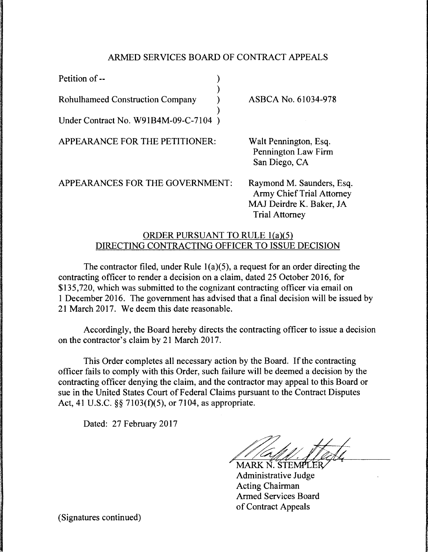## ARMED SERVICES BOARD OF CONTRACT APPEALS

| Petition of --                          |                     |
|-----------------------------------------|---------------------|
| <b>Rohulhameed Construction Company</b> | ASBCA No. 61034-978 |
| Under Contract No. W91B4M-09-C-7104)    |                     |

APPEARANCE FOR THE PETITIONER:

Walt Pennington, Esq. Pennington Law Firm San Diego, CA

APPEARANCES FOR THE GOVERNMENT:

Raymond M. Saunders, Esq. Army Chief Trial Attorney MAJ Deirdre K. Baker, JA Trial Attorney

## ORDER PURSUANT TO RULE l(a){S) DIRECTING CONTRACTING OFFICER TO ISSUE DECISION

The contractor filed, under Rule  $1(a)(5)$ , a request for an order directing the contracting officer to render a decision on a claim, dated 25 October 2016, for \$135,720, which was submitted to the cognizant contracting officer via email on 1 December 2016. The government has advised that a final decision will be issued by 21 March 2017. We deem this date reasonable.

Accordingly, the Board hereby directs the contracting officer to issue a decision on the contractor's claim by 21 March 2017.

This Order completes all necessary action by the Board. If the contracting officer fails to comply with this Order, such failure will be deemed a decision by the contracting officer denying the claim, and the contractor may appeal to this Board or sue in the United States Court of Federal Claims pursuant to the Contract Disputes Act, 41 U.S.C. §§ 7103(f)(5), or 7104, as appropriate.

Dated: 27 February 2017

MARK N. STEMPLER Administrative Judge Acting Chairman Armed Services Board of Contract Appeals

(Signatures continued)